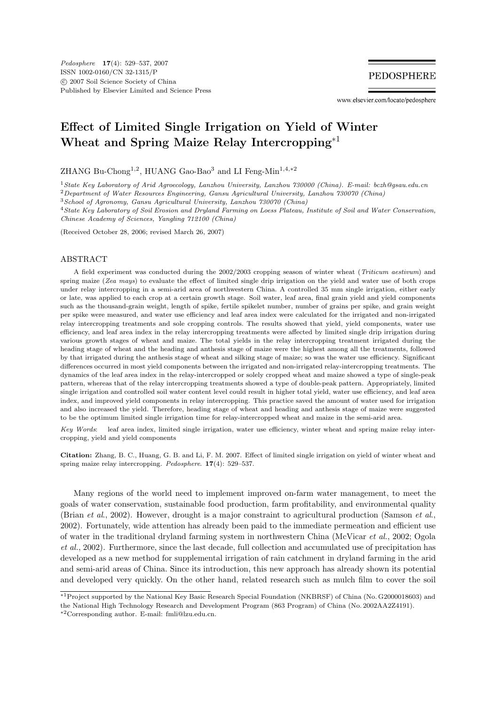### **PEDOSPHERE**

www.elsevier.com/locate/pedosphere

## **Effect of Limited Single Irrigation on Yield of Winter Wheat and Spring Maize Relay Intercropping**∗<sup>1</sup>

ZHANG Bu-Chong<sup>1,2</sup>, HUANG Gao-Bao<sup>3</sup> and LI Feng-Min<sup>1,4,\*2</sup>

<sup>1</sup>*State Key Laboratory of Arid Agroecology, Lanzhou University, Lanzhou 730000 (China). E-mail: bczh@gsau.edu.cn*

<sup>2</sup>*Department of Water Resources Engineering, Gansu Agricultural University, Lanzhou 730070 (China)*

<sup>3</sup>*School of Agronomy, Gansu Agricultural University, Lanzhou 730070 (China)*

<sup>4</sup>*State Key Laboratory of Soil Erosion and Dryland Farming on Loess Plateau, Institute of Soil and Water Conservation, Chinese Academy of Sciences, Yangling 712100 (China)*

(Received October 28, 2006; revised March 26, 2007)

#### ABSTRACT

A field experiment was conducted during the 2002/2003 cropping season of winter wheat (*Triticum aestivum*) and spring maize (*Zea mays*) to evaluate the effect of limited single drip irrigation on the yield and water use of both crops under relay intercropping in a semi-arid area of northwestern China. A controlled 35 mm single irrigation, either early or late, was applied to each crop at a certain growth stage. Soil water, leaf area, final grain yield and yield components such as the thousand-grain weight, length of spike, fertile spikelet number, number of grains per spike, and grain weight per spike were measured, and water use efficiency and leaf area index were calculated for the irrigated and non-irrigated relay intercropping treatments and sole cropping controls. The results showed that yield, yield components, water use efficiency, and leaf area index in the relay intercropping treatments were affected by limited single drip irrigation during various growth stages of wheat and maize. The total yields in the relay intercropping treatment irrigated during the heading stage of wheat and the heading and anthesis stage of maize were the highest among all the treatments, followed by that irrigated during the anthesis stage of wheat and silking stage of maize; so was the water use efficiency. Significant differences occurred in most yield components between the irrigated and non-irrigated relay-intercropping treatments. The dynamics of the leaf area index in the relay-intercropped or solely cropped wheat and maize showed a type of single-peak pattern, whereas that of the relay intercropping treatments showed a type of double-peak pattern. Appropriately, limited single irrigation and controlled soil water content level could result in higher total yield, water use efficiency, and leaf area index, and improved yield components in relay intercropping. This practice saved the amount of water used for irrigation and also increased the yield. Therefore, heading stage of wheat and heading and anthesis stage of maize were suggested to be the optimum limited single irrigation time for relay-intercropped wheat and maize in the semi-arid area.

*Key Words*: leaf area index, limited single irrigation, water use efficiency, winter wheat and spring maize relay intercropping, yield and yield components

**Citation:** Zhang, B. C., Huang, G. B. and Li, F. M. 2007. Effect of limited single irrigation on yield of winter wheat and spring maize relay intercropping. *Pedosphere*. **17**(4): 529–537.

Many regions of the world need to implement improved on-farm water management, to meet the goals of water conservation, sustainable food production, farm profitability, and environmental quality (Brian *et al*., 2002). However, drought is a major constraint to agricultural production (Samson *et al*., 2002). Fortunately, wide attention has already been paid to the immediate permeation and efficient use of water in the traditional dryland farming system in northwestern China (McVicar *et al.*, 2002; Ogola *et al.*, 2002). Furthermore, since the last decade, full collection and accumulated use of precipitation has developed as a new method for supplemental irrigation of rain catchment in dryland farming in the arid and semi-arid areas of China. Since its introduction, this new approach has already shown its potential and developed very quickly. On the other hand, related research such as mulch film to cover the soil

<sup>∗</sup>1Project supported by the National Key Basic Research Special Foundation (NKBRSF) of China (No. G2000018603) and the National High Technology Research and Development Program (863 Program) of China (No. 2002AA2Z4191). ∗2Corresponding author. E-mail: fmli@lzu.edu.cn.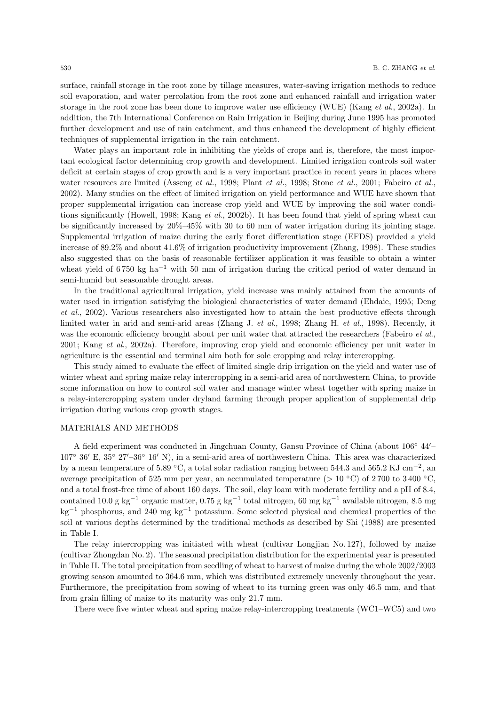surface, rainfall storage in the root zone by tillage measures, water-saving irrigation methods to reduce soil evaporation, and water percolation from the root zone and enhanced rainfall and irrigation water storage in the root zone has been done to improve water use efficiency (WUE) (Kang *et al*., 2002a). In addition, the 7th International Conference on Rain Irrigation in Beijing during June 1995 has promoted further development and use of rain catchment, and thus enhanced the development of highly efficient techniques of supplemental irrigation in the rain catchment.

Water plays an important role in inhibiting the yields of crops and is, therefore, the most important ecological factor determining crop growth and development. Limited irrigation controls soil water deficit at certain stages of crop growth and is a very important practice in recent years in places where water resources are limited (Asseng *et al.*, 1998; Plant *et al.*, 1998; Stone *et al.*, 2001; Fabeiro *et al.*, 2002). Many studies on the effect of limited irrigation on yield performance and WUE have shown that proper supplemental irrigation can increase crop yield and WUE by improving the soil water conditions significantly (Howell, 1998; Kang *et al*., 2002b). It has been found that yield of spring wheat can be significantly increased by 20%–45% with 30 to 60 mm of water irrigation during its jointing stage. Supplemental irrigation of maize during the early floret differentiation stage (EFDS) provided a yield increase of 89.2% and about 41.6% of irrigation productivity improvement (Zhang, 1998). These studies also suggested that on the basis of reasonable fertilizer application it was feasible to obtain a winter wheat yield of 6.750 kg ha<sup>-1</sup> with 50 mm of irrigation during the critical period of water demand in semi-humid but seasonable drought areas.

In the traditional agricultural irrigation, yield increase was mainly attained from the amounts of water used in irrigation satisfying the biological characteristics of water demand (Ehdaie, 1995; Deng *et al*., 2002). Various researchers also investigated how to attain the best productive effects through limited water in arid and semi-arid areas (Zhang J. *et al*., 1998; Zhang H. *et al*., 1998). Recently, it was the economic efficiency brought about per unit water that attracted the researchers (Fabeiro *et al*., 2001; Kang *et al*., 2002a). Therefore, improving crop yield and economic efficiency per unit water in agriculture is the essential and terminal aim both for sole cropping and relay intercropping.

This study aimed to evaluate the effect of limited single drip irrigation on the yield and water use of winter wheat and spring maize relay intercropping in a semi-arid area of northwestern China, to provide some information on how to control soil water and manage winter wheat together with spring maize in a relay-intercropping system under dryland farming through proper application of supplemental drip irrigation during various crop growth stages.

#### MATERIALS AND METHODS

A field experiment was conducted in Jingchuan County, Gansu Province of China (about 106◦ 44 – 107◦ 36 E, 35◦ 27 –36◦ 16 N), in a semi-arid area of northwestern China. This area was characterized by a mean temperature of 5.89 °C, a total solar radiation ranging between 544.3 and 565.2 KJ cm<sup>-2</sup>, an average precipitation of 525 mm per year, an accumulated temperature ( $> 10 °C$ ) of 2700 to 3400 °C, and a total frost-free time of about 160 days. The soil, clay loam with moderate fertility and a pH of 8.4, contained 10.0 g kg<sup>-1</sup> organic matter, 0.75 g kg<sup>-1</sup> total nitrogen, 60 mg kg<sup>-1</sup> available nitrogen, 8.5 mg kg−<sup>1</sup> phosphorus, and 240 mg kg−<sup>1</sup> potassium. Some selected physical and chemical properties of the soil at various depths determined by the traditional methods as described by Shi (1988) are presented in Table I.

The relay intercropping was initiated with wheat (cultivar Longjian No. 127), followed by maize (cultivar Zhongdan No. 2). The seasonal precipitation distribution for the experimental year is presented in Table II. The total precipitation from seedling of wheat to harvest of maize during the whole 2002/2003 growing season amounted to 364.6 mm, which was distributed extremely unevenly throughout the year. Furthermore, the precipitation from sowing of wheat to its turning green was only 46.5 mm, and that from grain filling of maize to its maturity was only 21.7 mm.

There were five winter wheat and spring maize relay-intercropping treatments (WC1–WC5) and two